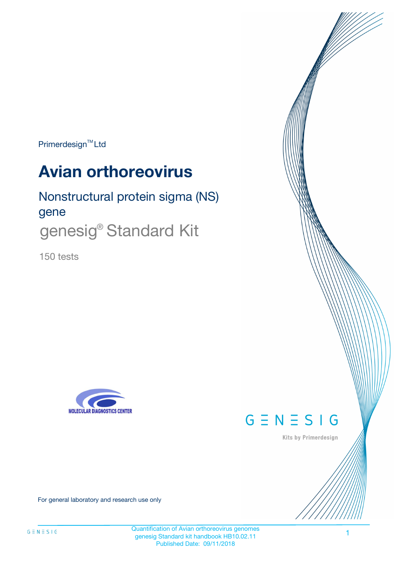Primerdesign<sup>™</sup>Ltd

# **Avian orthoreovirus**

# Nonstructural protein sigma (NS) gene genesig<sup>®</sup> Standard Kit

150 tests





Kits by Primerdesign

For general laboratory and research use only

Quantification of Avian orthoreovirus genomes genesig Standard kit handbook HB10.02.11 Published Date: 09/11/2018

1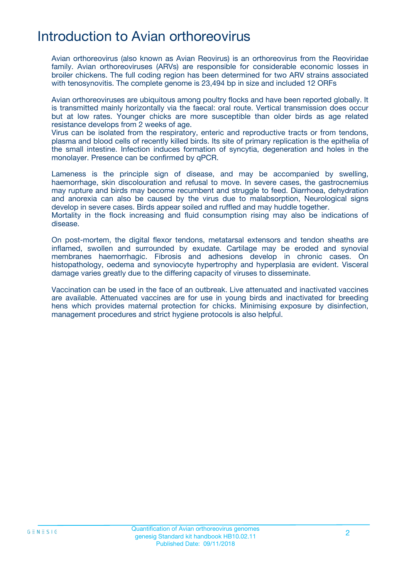## Introduction to Avian orthoreovirus

Avian orthoreovirus (also known as Avian Reovirus) is an orthoreovirus from the Reoviridae family. Avian orthoreoviruses (ARVs) are responsible for considerable economic losses in broiler chickens. The full coding region has been determined for two ARV strains associated with tenosynovitis. The complete genome is 23,494 bp in size and included 12 ORFs

Avian orthoreoviruses are ubiquitous among poultry flocks and have been reported globally. It is transmitted mainly horizontally via the faecal: oral route. Vertical transmission does occur but at low rates. Younger chicks are more susceptible than older birds as age related resistance develops from 2 weeks of age.

Virus can be isolated from the respiratory, enteric and reproductive tracts or from tendons, plasma and blood cells of recently killed birds. Its site of primary replication is the epithelia of the small intestine. Infection induces formation of syncytia, degeneration and holes in the monolayer. Presence can be confirmed by qPCR.

Lameness is the principle sign of disease, and may be accompanied by swelling, haemorrhage, skin discolouration and refusal to move. In severe cases, the gastrocnemius may rupture and birds may become recumbent and struggle to feed. Diarrhoea, dehydration and anorexia can also be caused by the virus due to malabsorption, Neurological signs develop in severe cases. Birds appear soiled and ruffled and may huddle together.

Mortality in the flock increasing and fluid consumption rising may also be indications of disease.

On post-mortem, the digital flexor tendons, metatarsal extensors and tendon sheaths are inflamed, swollen and surrounded by exudate. Cartilage may be eroded and synovial membranes haemorrhagic. Fibrosis and adhesions develop in chronic cases. On histopathology, oedema and synoviocyte hypertrophy and hyperplasia are evident. Visceral damage varies greatly due to the differing capacity of viruses to disseminate.

Vaccination can be used in the face of an outbreak. Live attenuated and inactivated vaccines are available. Attenuated vaccines are for use in young birds and inactivated for breeding hens which provides maternal protection for chicks. Minimising exposure by disinfection, management procedures and strict hygiene protocols is also helpful.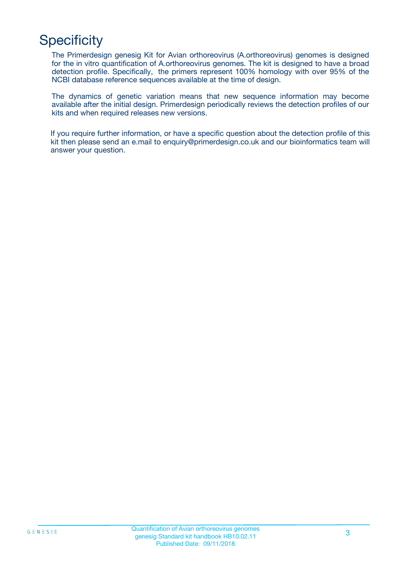# **Specificity**

The Primerdesign genesig Kit for Avian orthoreovirus (A.orthoreovirus) genomes is designed for the in vitro quantification of A.orthoreovirus genomes. The kit is designed to have a broad detection profile. Specifically, the primers represent 100% homology with over 95% of the NCBI database reference sequences available at the time of design.

The dynamics of genetic variation means that new sequence information may become available after the initial design. Primerdesign periodically reviews the detection profiles of our kits and when required releases new versions.

If you require further information, or have a specific question about the detection profile of this kit then please send an e.mail to enquiry@primerdesign.co.uk and our bioinformatics team will answer your question.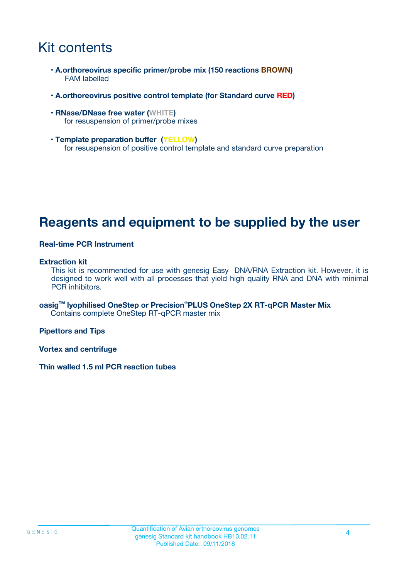# Kit contents

- **A.orthoreovirus specific primer/probe mix (150 reactions BROWN)** FAM labelled
- **A.orthoreovirus positive control template (for Standard curve RED)**
- **RNase/DNase free water (WHITE)** for resuspension of primer/probe mixes
- **Template preparation buffer (YELLOW)** for resuspension of positive control template and standard curve preparation

## **Reagents and equipment to be supplied by the user**

#### **Real-time PCR Instrument**

#### **Extraction kit**

This kit is recommended for use with genesig Easy DNA/RNA Extraction kit. However, it is designed to work well with all processes that yield high quality RNA and DNA with minimal PCR inhibitors.

**oasigTM lyophilised OneStep or Precision**®**PLUS OneStep 2X RT-qPCR Master Mix** Contains complete OneStep RT-qPCR master mix

**Pipettors and Tips**

**Vortex and centrifuge**

**Thin walled 1.5 ml PCR reaction tubes**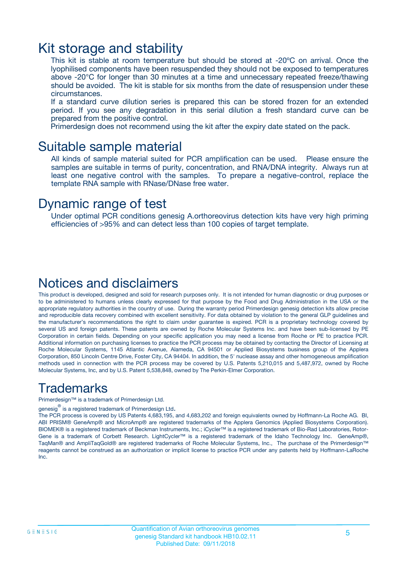### Kit storage and stability

This kit is stable at room temperature but should be stored at -20ºC on arrival. Once the lyophilised components have been resuspended they should not be exposed to temperatures above -20°C for longer than 30 minutes at a time and unnecessary repeated freeze/thawing should be avoided. The kit is stable for six months from the date of resuspension under these circumstances.

If a standard curve dilution series is prepared this can be stored frozen for an extended period. If you see any degradation in this serial dilution a fresh standard curve can be prepared from the positive control.

Primerdesign does not recommend using the kit after the expiry date stated on the pack.

### Suitable sample material

All kinds of sample material suited for PCR amplification can be used. Please ensure the samples are suitable in terms of purity, concentration, and RNA/DNA integrity. Always run at least one negative control with the samples. To prepare a negative-control, replace the template RNA sample with RNase/DNase free water.

### Dynamic range of test

Under optimal PCR conditions genesig A.orthoreovirus detection kits have very high priming efficiencies of >95% and can detect less than 100 copies of target template.

### Notices and disclaimers

This product is developed, designed and sold for research purposes only. It is not intended for human diagnostic or drug purposes or to be administered to humans unless clearly expressed for that purpose by the Food and Drug Administration in the USA or the appropriate regulatory authorities in the country of use. During the warranty period Primerdesign genesig detection kits allow precise and reproducible data recovery combined with excellent sensitivity. For data obtained by violation to the general GLP guidelines and the manufacturer's recommendations the right to claim under guarantee is expired. PCR is a proprietary technology covered by several US and foreign patents. These patents are owned by Roche Molecular Systems Inc. and have been sub-licensed by PE Corporation in certain fields. Depending on your specific application you may need a license from Roche or PE to practice PCR. Additional information on purchasing licenses to practice the PCR process may be obtained by contacting the Director of Licensing at Roche Molecular Systems, 1145 Atlantic Avenue, Alameda, CA 94501 or Applied Biosystems business group of the Applera Corporation, 850 Lincoln Centre Drive, Foster City, CA 94404. In addition, the 5' nuclease assay and other homogeneous amplification methods used in connection with the PCR process may be covered by U.S. Patents 5,210,015 and 5,487,972, owned by Roche Molecular Systems, Inc, and by U.S. Patent 5,538,848, owned by The Perkin-Elmer Corporation.

### Trademarks

Primerdesign™ is a trademark of Primerdesign Ltd.

genesig $^\circledR$  is a registered trademark of Primerdesign Ltd.

The PCR process is covered by US Patents 4,683,195, and 4,683,202 and foreign equivalents owned by Hoffmann-La Roche AG. BI, ABI PRISM® GeneAmp® and MicroAmp® are registered trademarks of the Applera Genomics (Applied Biosystems Corporation). BIOMEK® is a registered trademark of Beckman Instruments, Inc.; iCycler™ is a registered trademark of Bio-Rad Laboratories, Rotor-Gene is a trademark of Corbett Research. LightCycler™ is a registered trademark of the Idaho Technology Inc. GeneAmp®, TaqMan® and AmpliTaqGold® are registered trademarks of Roche Molecular Systems, Inc., The purchase of the Primerdesign™ reagents cannot be construed as an authorization or implicit license to practice PCR under any patents held by Hoffmann-LaRoche Inc.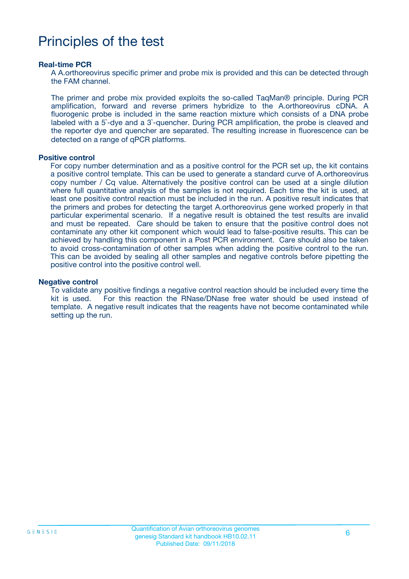# Principles of the test

#### **Real-time PCR**

A A.orthoreovirus specific primer and probe mix is provided and this can be detected through the FAM channel.

The primer and probe mix provided exploits the so-called TaqMan® principle. During PCR amplification, forward and reverse primers hybridize to the A.orthoreovirus cDNA. A fluorogenic probe is included in the same reaction mixture which consists of a DNA probe labeled with a 5`-dye and a 3`-quencher. During PCR amplification, the probe is cleaved and the reporter dye and quencher are separated. The resulting increase in fluorescence can be detected on a range of qPCR platforms.

#### **Positive control**

For copy number determination and as a positive control for the PCR set up, the kit contains a positive control template. This can be used to generate a standard curve of A.orthoreovirus copy number / Cq value. Alternatively the positive control can be used at a single dilution where full quantitative analysis of the samples is not required. Each time the kit is used, at least one positive control reaction must be included in the run. A positive result indicates that the primers and probes for detecting the target A.orthoreovirus gene worked properly in that particular experimental scenario. If a negative result is obtained the test results are invalid and must be repeated. Care should be taken to ensure that the positive control does not contaminate any other kit component which would lead to false-positive results. This can be achieved by handling this component in a Post PCR environment. Care should also be taken to avoid cross-contamination of other samples when adding the positive control to the run. This can be avoided by sealing all other samples and negative controls before pipetting the positive control into the positive control well.

#### **Negative control**

To validate any positive findings a negative control reaction should be included every time the kit is used. For this reaction the RNase/DNase free water should be used instead of template. A negative result indicates that the reagents have not become contaminated while setting up the run.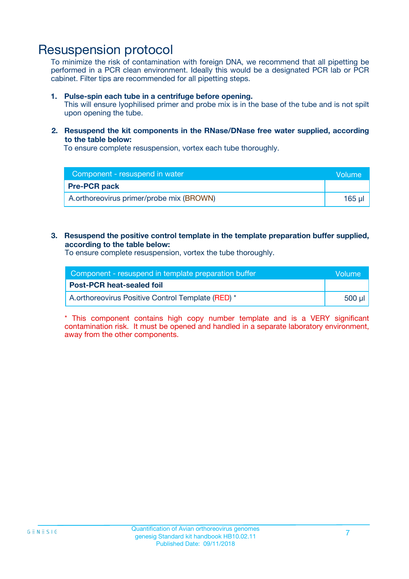### Resuspension protocol

To minimize the risk of contamination with foreign DNA, we recommend that all pipetting be performed in a PCR clean environment. Ideally this would be a designated PCR lab or PCR cabinet. Filter tips are recommended for all pipetting steps.

#### **1. Pulse-spin each tube in a centrifuge before opening.**

This will ensure lyophilised primer and probe mix is in the base of the tube and is not spilt upon opening the tube.

#### **2. Resuspend the kit components in the RNase/DNase free water supplied, according to the table below:**

To ensure complete resuspension, vortex each tube thoroughly.

| Component - resuspend in water           | <b>Nolume</b> |
|------------------------------------------|---------------|
| <b>Pre-PCR pack</b>                      |               |
| A.orthoreovirus primer/probe mix (BROWN) | $165$ $\mu$   |

#### **3. Resuspend the positive control template in the template preparation buffer supplied, according to the table below:**

To ensure complete resuspension, vortex the tube thoroughly.

| Component - resuspend in template preparation buffer |          |  |
|------------------------------------------------------|----------|--|
| <b>Post-PCR heat-sealed foil</b>                     |          |  |
| A.orthoreovirus Positive Control Template (RED) *    | ่ 500 µl |  |

\* This component contains high copy number template and is a VERY significant contamination risk. It must be opened and handled in a separate laboratory environment, away from the other components.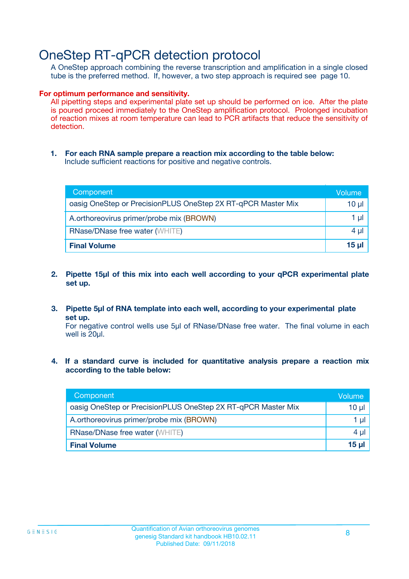## OneStep RT-qPCR detection protocol

A OneStep approach combining the reverse transcription and amplification in a single closed tube is the preferred method. If, however, a two step approach is required see page 10.

#### **For optimum performance and sensitivity.**

All pipetting steps and experimental plate set up should be performed on ice. After the plate is poured proceed immediately to the OneStep amplification protocol. Prolonged incubation of reaction mixes at room temperature can lead to PCR artifacts that reduce the sensitivity of detection.

**1. For each RNA sample prepare a reaction mix according to the table below:** Include sufficient reactions for positive and negative controls.

| Component                                                    | Volume       |
|--------------------------------------------------------------|--------------|
| oasig OneStep or PrecisionPLUS OneStep 2X RT-qPCR Master Mix | $10 \mu$     |
| A.orthoreovirus primer/probe mix (BROWN)                     | 1 µl         |
| <b>RNase/DNase free water (WHITE)</b>                        | $4 \mu$      |
| <b>Final Volume</b>                                          | <u>15 µl</u> |

- **2. Pipette 15µl of this mix into each well according to your qPCR experimental plate set up.**
- **3. Pipette 5µl of RNA template into each well, according to your experimental plate set up.**

For negative control wells use 5µl of RNase/DNase free water. The final volume in each well is 20ul.

**4. If a standard curve is included for quantitative analysis prepare a reaction mix according to the table below:**

| Component                                                    | Volume   |
|--------------------------------------------------------------|----------|
| oasig OneStep or PrecisionPLUS OneStep 2X RT-qPCR Master Mix | 10 µl    |
| A.orthoreovirus primer/probe mix (BROWN)                     | 1 ul     |
| <b>RNase/DNase free water (WHITE)</b>                        | $4 \mu$  |
| <b>Final Volume</b>                                          | $15 \mu$ |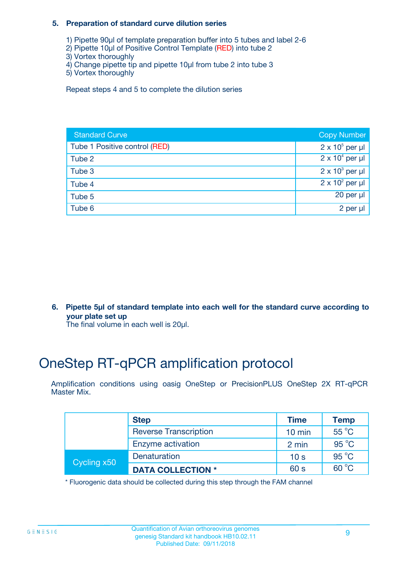#### **5. Preparation of standard curve dilution series**

- 1) Pipette 90µl of template preparation buffer into 5 tubes and label 2-6
- 2) Pipette 10µl of Positive Control Template (RED) into tube 2
- 3) Vortex thoroughly
- 4) Change pipette tip and pipette 10µl from tube 2 into tube 3
- 5) Vortex thoroughly

Repeat steps 4 and 5 to complete the dilution series

| <b>Standard Curve</b>         | <b>Copy Number</b>     |
|-------------------------------|------------------------|
| Tube 1 Positive control (RED) | $2 \times 10^5$ per µl |
| Tube 2                        | $2 \times 10^4$ per µl |
| Tube 3                        | $2 \times 10^3$ per µl |
| Tube 4                        | $2 \times 10^2$ per µl |
| Tube 5                        | 20 per $\mu$           |
| Tube 6                        | 2 per µl               |

**6. Pipette 5µl of standard template into each well for the standard curve according to your plate set up**

The final volume in each well is 20ul.

# OneStep RT-qPCR amplification protocol

Amplification conditions using oasig OneStep or PrecisionPLUS OneStep 2X RT-qPCR Master Mix.

|             | <b>Step</b>                  | <b>Time</b>      | <b>Temp</b>    |
|-------------|------------------------------|------------------|----------------|
|             | <b>Reverse Transcription</b> | $10 \text{ min}$ | $55^{\circ}$ C |
|             | Enzyme activation            | 2 min            | $95^{\circ}$ C |
| Cycling x50 | Denaturation                 | 10 <sub>s</sub>  | $95^{\circ}$ C |
|             | <b>DATA COLLECTION *</b>     | 60 s             | $60^{\circ}$ C |

\* Fluorogenic data should be collected during this step through the FAM channel